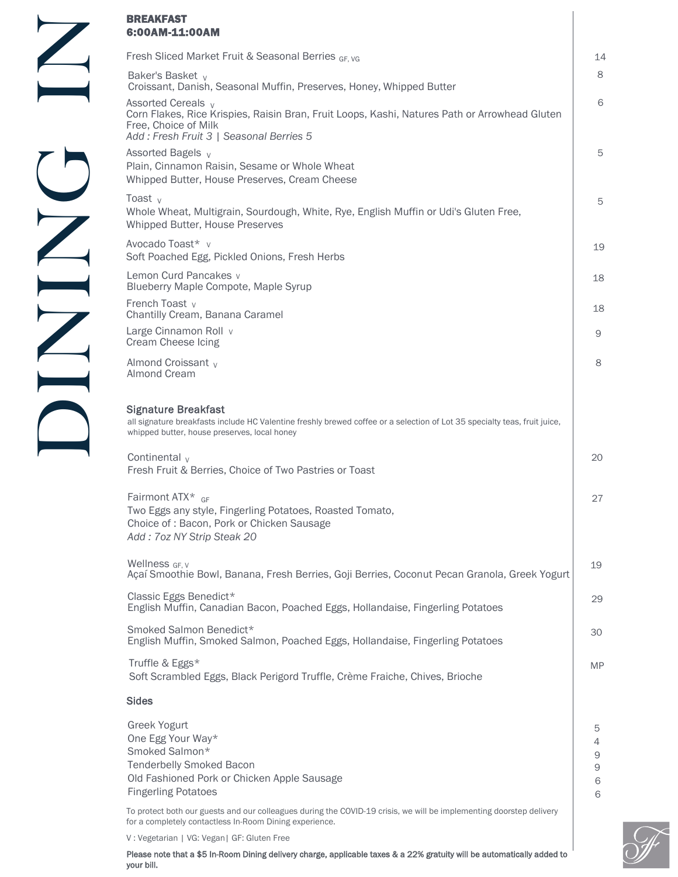| Fresh Sliced Market Fruit & Seasonal Berries GF. VG<br>Baker's Basket <sub>v</sub><br>Croissant, Danish, Seasonal Muffin, Preserves, Honey, Whipped Butter<br>Assorted Cereals v<br>Corn Flakes, Rice Krispies, Raisin Bran, Fruit Loops, Kashi, Natures Path or Arrowhead Gluten<br>Free, Choice of Milk<br>Add: Fresh Fruit 3   Seasonal Berries 5<br>Assorted Bagels v<br>Plain, Cinnamon Raisin, Sesame or Whole Wheat<br>Whipped Butter, House Preserves, Cream Cheese<br>Toast $V$<br>Whole Wheat, Multigrain, Sourdough, White, Rye, English Muffin or Udi's Gluten Free,<br>Whipped Butter, House Preserves<br>Avocado Toast* v<br>Soft Poached Egg, Pickled Onions, Fresh Herbs<br>Lemon Curd Pancakes v<br>Blueberry Maple Compote, Maple Syrup<br>French Toast v |                            |
|-----------------------------------------------------------------------------------------------------------------------------------------------------------------------------------------------------------------------------------------------------------------------------------------------------------------------------------------------------------------------------------------------------------------------------------------------------------------------------------------------------------------------------------------------------------------------------------------------------------------------------------------------------------------------------------------------------------------------------------------------------------------------------|----------------------------|
|                                                                                                                                                                                                                                                                                                                                                                                                                                                                                                                                                                                                                                                                                                                                                                             | 14                         |
|                                                                                                                                                                                                                                                                                                                                                                                                                                                                                                                                                                                                                                                                                                                                                                             | 8                          |
|                                                                                                                                                                                                                                                                                                                                                                                                                                                                                                                                                                                                                                                                                                                                                                             | 6                          |
|                                                                                                                                                                                                                                                                                                                                                                                                                                                                                                                                                                                                                                                                                                                                                                             | 5                          |
|                                                                                                                                                                                                                                                                                                                                                                                                                                                                                                                                                                                                                                                                                                                                                                             | 5                          |
|                                                                                                                                                                                                                                                                                                                                                                                                                                                                                                                                                                                                                                                                                                                                                                             | 19                         |
|                                                                                                                                                                                                                                                                                                                                                                                                                                                                                                                                                                                                                                                                                                                                                                             | 18                         |
| Chantilly Cream, Banana Caramel                                                                                                                                                                                                                                                                                                                                                                                                                                                                                                                                                                                                                                                                                                                                             | 18                         |
| Large Cinnamon Roll v<br>Cream Cheese Icing                                                                                                                                                                                                                                                                                                                                                                                                                                                                                                                                                                                                                                                                                                                                 | 9                          |
| Almond Croissant v<br><b>Almond Cream</b>                                                                                                                                                                                                                                                                                                                                                                                                                                                                                                                                                                                                                                                                                                                                   | 8                          |
| <b>Signature Breakfast</b><br>all signature breakfasts include HC Valentine freshly brewed coffee or a selection of Lot 35 specialty teas, fruit juice,<br>whipped butter, house preserves, local honey                                                                                                                                                                                                                                                                                                                                                                                                                                                                                                                                                                     |                            |
| Continental $V$<br>Fresh Fruit & Berries, Choice of Two Pastries or Toast                                                                                                                                                                                                                                                                                                                                                                                                                                                                                                                                                                                                                                                                                                   | 20                         |
| Fairmont $ATX^*$ GF<br>Two Eggs any style, Fingerling Potatoes, Roasted Tomato,<br>Choice of: Bacon, Pork or Chicken Sausage<br>Add: 7oz NY Strip Steak 20                                                                                                                                                                                                                                                                                                                                                                                                                                                                                                                                                                                                                  | 27                         |
| Wellness GF. V<br>Açaí Smoothie Bowl, Banana, Fresh Berries, Goji Berries, Coconut Pecan Granola, Greek Yogurt                                                                                                                                                                                                                                                                                                                                                                                                                                                                                                                                                                                                                                                              | 19                         |
| Classic Eggs Benedict*<br>English Muffin, Canadian Bacon, Poached Eggs, Hollandaise, Fingerling Potatoes                                                                                                                                                                                                                                                                                                                                                                                                                                                                                                                                                                                                                                                                    | 29                         |
| Smoked Salmon Benedict*<br>English Muffin, Smoked Salmon, Poached Eggs, Hollandaise, Fingerling Potatoes                                                                                                                                                                                                                                                                                                                                                                                                                                                                                                                                                                                                                                                                    | 30                         |
| Truffle & Eggs*<br>Soft Scrambled Eggs, Black Perigord Truffle, Crème Fraiche, Chives, Brioche                                                                                                                                                                                                                                                                                                                                                                                                                                                                                                                                                                                                                                                                              | <b>MP</b>                  |
| <b>Sides</b>                                                                                                                                                                                                                                                                                                                                                                                                                                                                                                                                                                                                                                                                                                                                                                |                            |
| Greek Yogurt<br>One Egg Your Way*<br>Smoked Salmon*<br>Tenderbelly Smoked Bacon<br>Old Fashioned Pork or Chicken Apple Sausage<br><b>Fingerling Potatoes</b>                                                                                                                                                                                                                                                                                                                                                                                                                                                                                                                                                                                                                | 5<br>4<br>9<br>9<br>6<br>6 |

To protect both our guests and our colleagues during the COVID-19 crisis, we will be implementing doorstep delivery for a completely contactless In-Room Dining experience.

V : Vegetarian | VG: Vegan| GF: Gluten Free

Please note that a \$5 In-Room Dining delivery charge, applicable taxes & a 22% gratuity will be automatically added to your bill.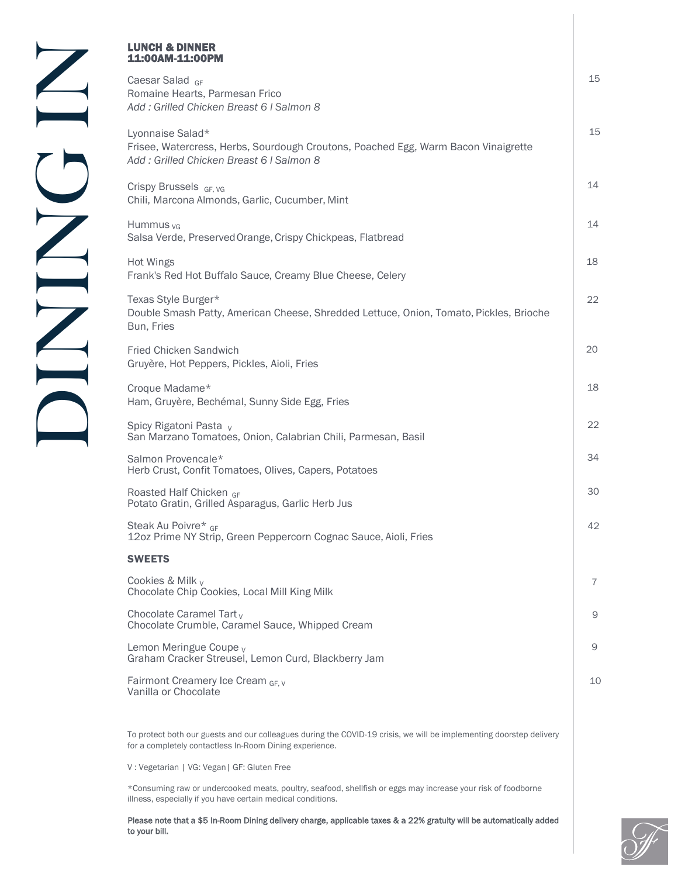## LUNCH & DINNER 11:00AM-11:00PM

Caesar Salad GF Romaine Hearts, Parmesan Frico *Add : Grilled Chicken Breast 6 l Salmon 8*

Lyonnaise Salad\* Frisee, Watercress, Herbs, Sourdough Croutons, Poached Egg, Warm Bacon Vinaigrette *Add : Grilled Chicken Breast 6 l Salmon 8*

Crispy Brussels GF VG Chili, Marcona Almonds, Garlic, Cucumber, Mint

Hummus  $vG$ Salsa Verde, Preserved Orange, Crispy Chickpeas, Flatbread

Hot Wings Frank's Red Hot Buffalo Sauce, Creamy Blue Cheese, Celery

Texas Style Burger\* Double Smash Patty, American Cheese, Shredded Lettuce, Onion, Tomato, Pickles, Brioche Bun, Fries

Fried Chicken Sandwich Gruyère, Hot Peppers, Pickles, Aioli, Fries

Croque Madame\* Ham, Gruyère, Bechémal, Sunny Side Egg, Fries

Spicy Rigatoni Pasta <sub>V</sub> San Marzano Tomatoes, Onion, Calabrian Chili, Parmesan, Basil

Salmon Provencale\* Herb Crust, Confit Tomatoes, Olives, Capers, Potatoes

Roasted Half Chicken GF Potato Gratin, Grilled Asparagus, Garlic Herb Jus

Steak Au Poivre\* GF 12oz Prime NY Strip, Green Peppercorn Cognac Sauce, Aioli, Fries

## **SWEETS**

Cookies & Milk  $V$ Chocolate Chip Cookies, Local Mill King Milk

Chocolate Caramel Tart $_V$ Chocolate Crumble, Caramel Sauce, Whipped Cream

Lemon Meringue Coupe <sub>V</sub> Graham Cracker Streusel, Lemon Curd, Blackberry Jam

Fairmont Creamery Ice Cream GF V Vanilla or Chocolate

To protect both our guests and our colleagues during the COVID-19 crisis, we will be implementing doorstep delivery for a completely contactless In-Room Dining experience.

V : Vegetarian | VG: Vegan| GF: Gluten Free

\*Consuming raw or undercooked meats, poultry, seafood, shellfish or eggs may increase your risk of foodborne illness, especially if you have certain medical conditions.

Please note that a \$5 In-Room Dining delivery charge, applicable taxes & a 22% gratuity will be automatically added to your bill.



15

15

14

14

18

22

20

34

22

18

30

42

7

9

9

10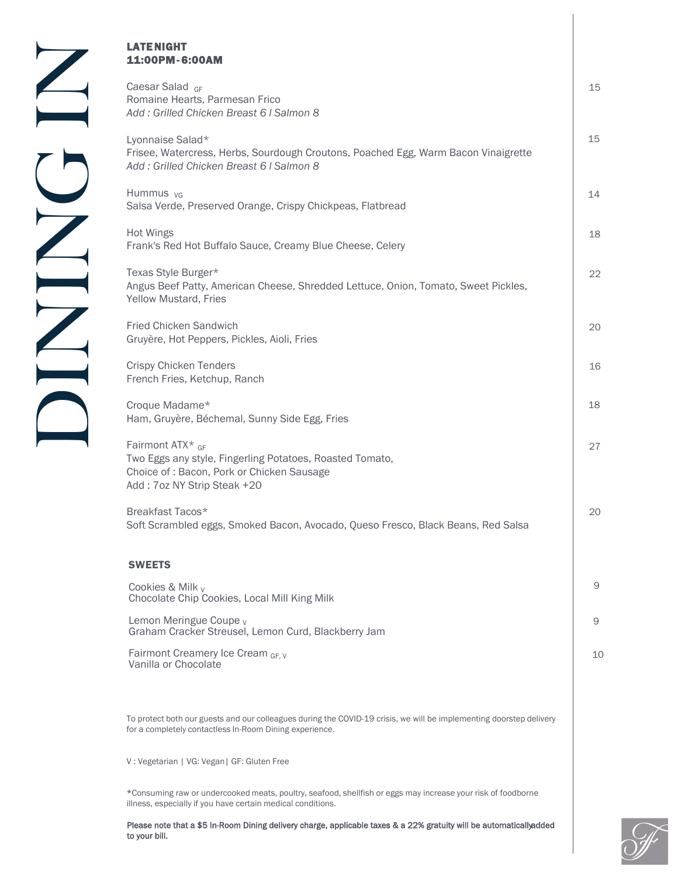| LATE NIGHT<br>11:00PM-6:00AM                                                                                                                                                   |    |
|--------------------------------------------------------------------------------------------------------------------------------------------------------------------------------|----|
| Caesar Salad GF<br>Romaine Hearts, Parmesan Frico<br>Add: Grilled Chicken Breast 6   Salmon 8                                                                                  | 15 |
| Lyonnaise Salad*<br>Frisee, Watercress, Herbs, Sourdough Croutons, Poached Egg, Warm Bacon Vinaigrette<br>Add: Grilled Chicken Breast 6   Salmon 8                             | 15 |
| Hummus <sub>VG</sub><br>Salsa Verde, Preserved Orange, Crispy Chickpeas, Flatbread                                                                                             | 14 |
| Hot Wings<br>Frank's Red Hot Buffalo Sauce, Creamy Blue Cheese, Celery                                                                                                         | 18 |
| Texas Style Burger*<br>Angus Beef Patty, American Cheese, Shredded Lettuce, Onion, Tomato, Sweet Pickles,<br>Yellow Mustard, Fries                                             | 22 |
| Fried Chicken Sandwich<br>Gruyère, Hot Peppers, Pickles, Aioli, Fries                                                                                                          | 20 |
| <b>Crispy Chicken Tenders</b><br>French Fries, Ketchup, Ranch                                                                                                                  | 16 |
| Croque Madame*<br>Ham, Gruyère, Béchemal, Sunny Side Egg, Fries                                                                                                                | 18 |
| Fairmont ATX* GF<br>Two Eggs any style, Fingerling Potatoes, Roasted Tomato,<br>Choice of: Bacon, Pork or Chicken Sausage<br>Add: 7oz NY Strip Steak +20                       | 27 |
| Breakfast Tacos*<br>Soft Scrambled eggs, Smoked Bacon, Avocado, Queso Fresco, Black Beans, Red Salsa                                                                           | 20 |
| <b>SWEETS</b>                                                                                                                                                                  |    |
| Cookies & Milk $V$<br>Chocolate Chip Cookies, Local Mill King Milk                                                                                                             | 9  |
| Lemon Meringue Coupe <sub>v</sub><br>Graham Cracker Streusel, Lemon Curd, Blackberry Jam                                                                                       | 9  |
| Fairmont Creamery Ice Cream GF, V<br>Vanilla or Chocolate                                                                                                                      | 10 |
| To protect both our guests and our colleagues during the COVID-19 crisis, we will be implementing doorstep delivery<br>for a completely contactless In-Room Dining experience. |    |
| V: Vegetarian   VG: Vegan   GF: Gluten Free                                                                                                                                    |    |

\*Consuming raw or undercooked meats, poultry, seafood, shellfish or eggs may increase your risk of foodborne illness, especially if you have certain medical conditions.

Please note that a \$5 In-Room Dining delivery charge, applicable taxes & a 22% gratuity will be automatically added to your bill.

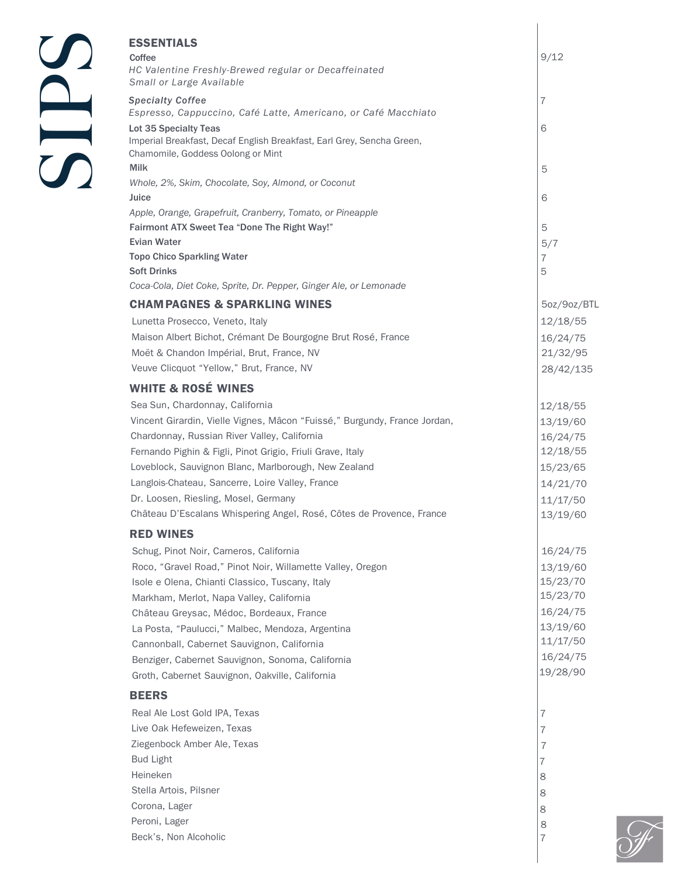|               | <b>ESSENTIALS</b><br>Coffee                                                                                                         | 9/12                  |
|---------------|-------------------------------------------------------------------------------------------------------------------------------------|-----------------------|
|               | HC Valentine Freshly-Brewed regular or Decaffeinated<br>Small or Large Available                                                    |                       |
|               | <b>Specialty Coffee</b><br>Espresso, Cappuccino, Café Latte, Americano, or Café Macchiato                                           | 7                     |
|               | Lot 35 Specialty Teas<br>Imperial Breakfast, Decaf English Breakfast, Earl Grey, Sencha Green,<br>Chamomile, Goddess Oolong or Mint | 6                     |
| $\mathcal{L}$ | <b>Milk</b><br>Whole, 2%, Skim, Chocolate, Soy, Almond, or Coconut                                                                  | 5                     |
|               | Juice<br>Apple, Orange, Grapefruit, Cranberry, Tomato, or Pineapple                                                                 | 6                     |
|               | <b>Fairmont ATX Sweet Tea "Done The Right Way!"</b><br><b>Evian Water</b>                                                           | 5                     |
|               | <b>Topo Chico Sparkling Water</b>                                                                                                   | 5/7<br>$\overline{7}$ |
|               | <b>Soft Drinks</b>                                                                                                                  | 5                     |
|               | Coca-Cola, Diet Coke, Sprite, Dr. Pepper, Ginger Ale, or Lemonade                                                                   |                       |
|               | <b>CHAM PAGNES &amp; SPARKLING WINES</b>                                                                                            | 5oz/9oz/BTL           |
|               | Lunetta Prosecco, Veneto, Italy                                                                                                     | 12/18/55              |
|               | Maison Albert Bichot, Crémant De Bourgogne Brut Rosé, France                                                                        | 16/24/75              |
|               | Moët & Chandon Impérial, Brut, France, NV                                                                                           | 21/32/95              |
|               | Veuve Clicquot "Yellow," Brut, France, NV                                                                                           | 28/42/135             |
|               |                                                                                                                                     |                       |
|               | <b>WHITE &amp; ROSÉ WINES</b>                                                                                                       |                       |
|               | Sea Sun, Chardonnay, California                                                                                                     | 12/18/55              |
|               | Vincent Girardin, Vielle Vignes, Mâcon "Fuissé," Burgundy, France Jordan,                                                           | 13/19/60              |
|               | Chardonnay, Russian River Valley, California<br>Fernando Pighin & Figli, Pinot Grigio, Friuli Grave, Italy                          | 16/24/75<br>12/18/55  |
|               | Loveblock, Sauvignon Blanc, Marlborough, New Zealand                                                                                | 15/23/65              |
|               | Langlois-Chateau, Sancerre, Loire Valley, France                                                                                    |                       |
|               | Dr. Loosen, Riesling, Mosel, Germany                                                                                                | 14/21/70              |
|               | Château D'Escalans Whispering Angel, Rosé, Côtes de Provence, France                                                                | 11/17/50              |
|               |                                                                                                                                     | 13/19/60              |
|               | <b>RED WINES</b>                                                                                                                    |                       |
|               | Schug, Pinot Noir, Carneros, California                                                                                             | 16/24/75              |
|               | Roco, "Gravel Road," Pinot Noir, Willamette Valley, Oregon                                                                          | 13/19/60              |
|               | Isole e Olena, Chianti Classico, Tuscany, Italy                                                                                     | 15/23/70              |
|               | Markham, Merlot, Napa Valley, California                                                                                            | 15/23/70              |
|               | Château Greysac, Médoc, Bordeaux, France                                                                                            | 16/24/75              |
|               | La Posta, "Paulucci," Malbec, Mendoza, Argentina                                                                                    | 13/19/60              |
|               | Cannonball, Cabernet Sauvignon, California                                                                                          | 11/17/50              |
|               | Benziger, Cabernet Sauvignon, Sonoma, California<br>Groth, Cabernet Sauvignon, Oakville, California                                 | 16/24/75<br>19/28/90  |
|               | <b>BEERS</b>                                                                                                                        |                       |
|               | Real Ale Lost Gold IPA, Texas                                                                                                       | 7                     |
|               | Live Oak Hefeweizen, Texas                                                                                                          | 7                     |
|               | Ziegenbock Amber Ale, Texas                                                                                                         | $\overline{I}$        |
|               | <b>Bud Light</b>                                                                                                                    | 7                     |
|               | Heineken                                                                                                                            | 8                     |
|               | Stella Artois, Pilsner                                                                                                              | 8                     |
|               | Corona, Lager                                                                                                                       | 8                     |
|               | Peroni, Lager                                                                                                                       | 8                     |
|               | Beck's, Non Alcoholic                                                                                                               | $\overline{7}$        |
|               |                                                                                                                                     |                       |

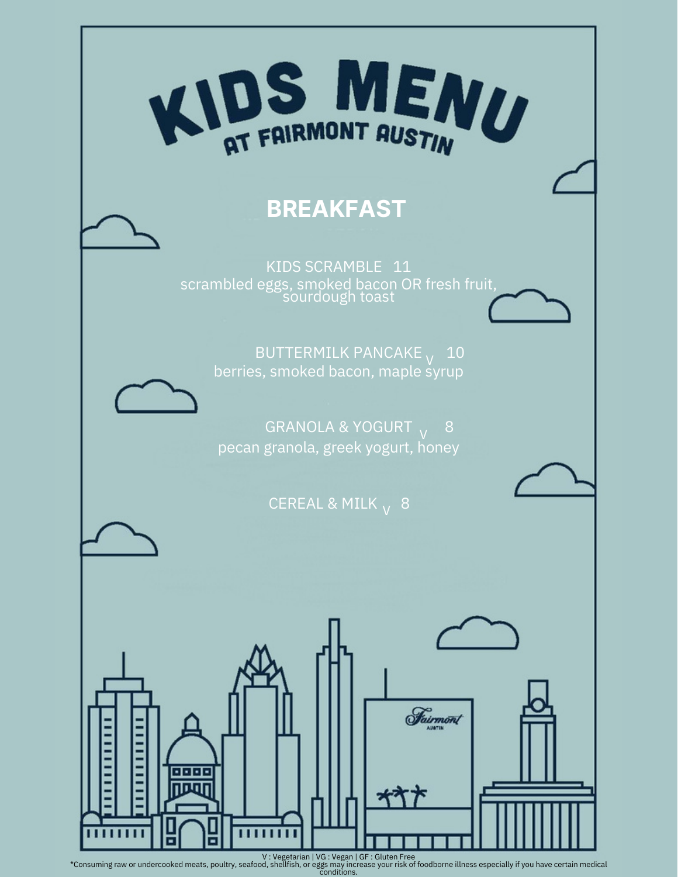

V : Vegetarian | VG : Vegan | GF : Gluten Free<br>Consuming raw or undercooked meats, poultry, seafood, shellfish, or eggs may increase your risk of foodborne illness especially if you have certain medical\*<br>conditions.